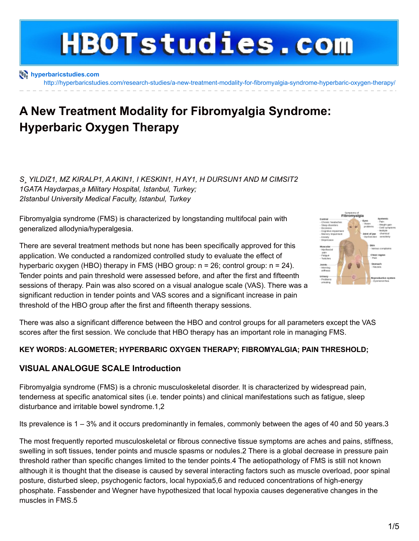# **HBOTstudies.com**

**[hyperbaricstudies.com](http://hyperbaricstudies.com)**

<http://hyperbaricstudies.com/research-studies/a-new-treatment-modality-for-fibromyalgia-syndrome-hyperbaric-oxygen-therapy/>

# **A New Treatment Modality for Fibromyalgia Syndrome: Hyperbaric Oxygen Therapy**

*S¸ YILDIZ1, MZ KIRALP1, AAKIN1, I KESKIN1, H AY1, H DURSUN1 AND M CIMSIT2 1GATA Haydarpas¸a Military Hospital, Istanbul, Turkey; 2Istanbul University Medical Faculty, Istanbul, Turkey*

Fibromyalgia syndrome (FMS) is characterized by longstanding multifocal pain with generalized allodynia/hyperalgesia.

There are several treatment methods but none has been specifically approved for this application. We conducted a randomized controlled study to evaluate the effect of hyperbaric oxygen (HBO) therapy in FMS (HBO group: n = 26; control group: n = 24). Tender points and pain threshold were assessed before, and after the first and fifteenth sessions of therapy. Pain was also scored on a visual analogue scale (VAS). There was a significant reduction in tender points and VAS scores and a significant increase in pain threshold of the HBO group after the first and fifteenth therapy sessions.



There was also a significant difference between the HBO and control groups for all parameters except the VAS scores after the first session. We conclude that HBO therapy has an important role in managing FMS.

#### **KEY WORDS: ALGOMETER; HYPERBARIC OXYGEN THERAPY; FIBROMYALGIA; PAIN THRESHOLD;**

#### **VISUAL ANALOGUE SCALE Introduction**

Fibromyalgia syndrome (FMS) is a chronic musculoskeletal disorder. It is characterized by widespread pain, tenderness at specific anatomical sites (i.e. tender points) and clinical manifestations such as fatigue, sleep disturbance and irritable bowel syndrome.1,2

Its prevalence is 1 – 3% and it occurs predominantly in females, commonly between the ages of 40 and 50 years.3

The most frequently reported musculoskeletal or fibrous connective tissue symptoms are aches and pains, stiffness, swelling in soft tissues, tender points and muscle spasms or nodules.2 There is a global decrease in pressure pain threshold rather than specific changes limited to the tender points.4 The aetiopathology of FMS is still not known although it is thought that the disease is caused by several interacting factors such as muscle overload, poor spinal posture, disturbed sleep, psychogenic factors, local hypoxia5,6 and reduced concentrations of high-energy phosphate. Fassbender and Wegner have hypothesized that local hypoxia causes degenerative changes in the muscles in FMS.5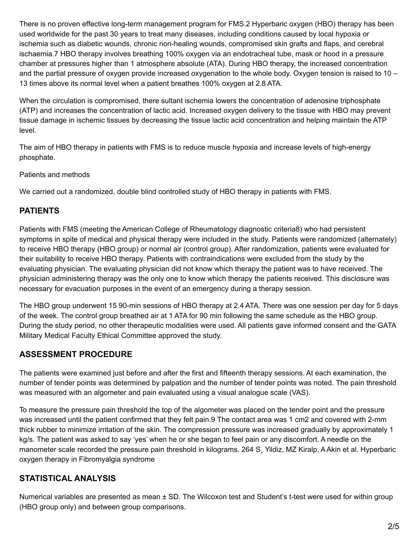There is no proven effective long-term management program for FMS.2 Hyperbaric oxygen (HBO) therapy has been used worldwide for the past 30 years to treat many diseases, including conditions caused by local hypoxia or ischemia such as diabetic wounds, chronic non-healing wounds, compromised skin grafts and flaps, and cerebral ischaemia.7 HBO therapy involves breathing 100% oxygen via an endotracheal tube, mask or hood in a pressure chamber at pressures higher than 1 atmosphere absolute (ATA). During HBO therapy, the increased concentration and the partial pressure of oxygen provide increased oxygenation to the whole body. Oxygen tension is raised to 10 – 13 times above its normal level when a patient breathes 100% oxygen at 2.8 ATA.

When the circulation is compromised, there sultant ischemia lowers the concentration of adenosine triphosphate (ATP) and increases the concentration of lactic acid. Increased oxygen delivery to the tissue with HBO may prevent tissue damage in ischemic tissues by decreasing the tissue lactic acid concentration and helping maintain the ATP level.

The aim of HBO therapy in patients with FMS is to reduce muscle hypoxia and increase levels of high-energy phosphate.

Patients and methods

We carried out a randomized, double blind controlled study of HBO therapy in patients with FMS.

#### **PATIENTS**

Patients with FMS (meeting the American College of Rheumatology diagnostic criteria8) who had persistent symptoms in spite of medical and physical therapy were included in the study. Patients were randomized (alternately) to receive HBO therapy (HBO group) or normal air (control group). After randomization, patients were evaluated for their suitability to receive HBO therapy. Patients with contraindications were excluded from the study by the evaluating physician. The evaluating physician did not know which therapy the patient was to have received. The physician administering therapy was the only one to know which therapy the patients received. This disclosure was necessary for evacuation purposes in the event of an emergency during a therapy session.

The HBO group underwent 15 90-min sessions of HBO therapy at 2.4 ATA. There was one session per day for 5 days of the week. The control group breathed air at 1 ATA for 90 min following the same schedule as the HBO group. During the study period, no other therapeutic modalities were used. All patients gave informed consent and the GATA Military Medical Faculty Ethical Committee approved the study.

## **ASSESSMENT PROCEDURE**

The patients were examined just before and after the first and fifteenth therapy sessions. At each examination, the number of tender points was determined by palpation and the number of tender points was noted. The pain threshold was measured with an algometer and pain evaluated using a visual analogue scale (VAS).

To measure the pressure pain threshold the top of the algometer was placed on the tender point and the pressure was increased until the patient confirmed that they felt pain.9 The contact area was 1 cm2 and covered with 2-mm thick rubber to minimize irritation of the skin. The compression pressure was increased gradually by approximately 1 kg/s. The patient was asked to say 'yes' when he or she began to feel pain or any discomfort. A needle on the manometer scale recorded the pressure pain threshold in kilograms. 264 S¸ Yildiz, MZ Kiralp, AAkin et al. Hyperbaric oxygen therapy in Fibromyalgia syndrome

## **STATISTICAL ANALYSIS**

Numerical variables are presented as mean  $\pm$  SD. The Wilcoxon test and Student's t-test were used for within group (HBO group only) and between group comparisons.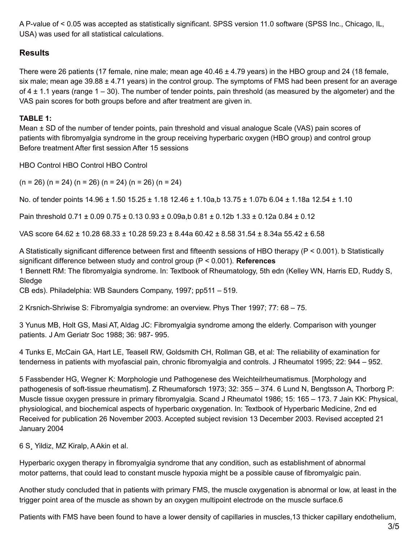A P-value of < 0.05 was accepted as statistically significant. SPSS version 11.0 software (SPSS Inc., Chicago, IL, USA) was used for all statistical calculations.

#### **Results**

There were 26 patients (17 female, nine male; mean age 40.46 ± 4.79 years) in the HBO group and 24 (18 female, six male; mean age 39.88 ± 4.71 years) in the control group. The symptoms of FMS had been present for an average of  $4 \pm 1.1$  years (range  $1 - 30$ ). The number of tender points, pain threshold (as measured by the algometer) and the VAS pain scores for both groups before and after treatment are given in.

#### **TABLE 1:**

Mean ± SD of the number of tender points, pain threshold and visual analogue Scale (VAS) pain scores of patients with fibromyalgia syndrome in the group receiving hyperbaric oxygen (HBO group) and control group Before treatment After first session After 15 sessions

HBO Control HBO Control HBO Control

 $(n = 26)$   $(n = 24)$   $(n = 26)$   $(n = 24)$   $(n = 26)$   $(n = 24)$ 

No. of tender points 14.96 ± 1.50 15.25 ± 1.18 12.46 ± 1.10a,b 13.75 ± 1.07b 6.04 ± 1.18a 12.54 ± 1.10

Pain threshold 0.71 ± 0.09 0.75 ± 0.13 0.93 ± 0.09a,b 0.81 ± 0.12b 1.33 ± 0.12a 0.84 ± 0.12

VAS score 64.62 ± 10.28 68.33 ± 10.28 59.23 ± 8.44a 60.42 ± 8.58 31.54 ± 8.34a 55.42 ± 6.58

A Statistically significant difference between first and fifteenth sessions of HBO therapy (P < 0.001). b Statistically significant difference between study and control group (P < 0.001). **References** 1 Bennett RM: The fibromyalgia syndrome. In: Textbook of Rheumatology, 5th edn (Kelley WN, Harris ED, Ruddy S, Sledge

CB eds). Philadelphia: WB Saunders Company, 1997; pp511 – 519.

2 Krsnich-Shriwise S: Fibromyalgia syndrome: an overview. Phys Ther 1997; 77: 68 – 75.

3 Yunus MB, Holt GS, Masi AT, Aldag JC: Fibromyalgia syndrome among the elderly. Comparison with younger patients. J Am Geriatr Soc 1988; 36: 987- 995.

4 Tunks E, McCain GA, Hart LE, Teasell RW, Goldsmith CH, Rollman GB, et al: The reliability of examination for tenderness in patients with myofascial pain, chronic fibromyalgia and controls. J Rheumatol 1995; 22: 944 – 952.

5 Fassbender HG, Wegner K: Morphologie und Pathogenese des Weichteilrheumatismus. [Morphology and pathogenesis of soft-tissue rheumatism]. Z Rheumaforsch 1973; 32: 355 – 374. 6 Lund N, Bengtsson A, Thorborg P: Muscle tissue oxygen pressure in primary fibromyalgia. Scand J Rheumatol 1986; 15: 165 – 173. 7 Jain KK: Physical, physiological, and biochemical aspects of hyperbaric oxygenation. In: Textbook of Hyperbaric Medicine, 2nd ed Received for publication 26 November 2003. Accepted subject revision 13 December 2003. Revised accepted 21 January 2004

6 S¸ Yildiz, MZ Kiralp, AAkin et al.

Hyperbaric oxygen therapy in fibromyalgia syndrome that any condition, such as establishment of abnormal motor patterns, that could lead to constant muscle hypoxia might be a possible cause of fibromyalgic pain.

Another study concluded that in patients with primary FMS, the muscle oxygenation is abnormal or low, at least in the trigger point area of the muscle as shown by an oxygen multipoint electrode on the muscle surface.6

Patients with FMS have been found to have a lower density of capillaries in muscles,13 thicker capillary endothelium,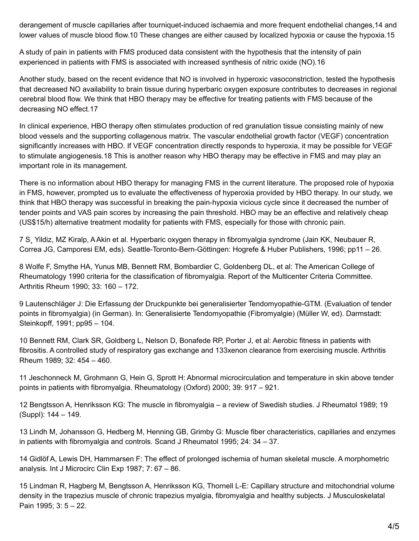derangement of muscle capillaries after tourniquet-induced ischaemia and more frequent endothelial changes,14 and lower values of muscle blood flow.10 These changes are either caused by localized hypoxia or cause the hypoxia.15

A study of pain in patients with FMS produced data consistent with the hypothesis that the intensity of pain experienced in patients with FMS is associated with increased synthesis of nitric oxide (NO).16

Another study, based on the recent evidence that NO is involved in hyperoxic vasoconstriction, tested the hypothesis that decreased NO availability to brain tissue during hyperbaric oxygen exposure contributes to decreases in regional cerebral blood flow. We think that HBO therapy may be effective for treating patients with FMS because of the decreasing NO effect.17

In clinical experience, HBO therapy often stimulates production of red granulation tissue consisting mainly of new blood vessels and the supporting collagenous matrix. The vascular endothelial growth factor (VEGF) concentration significantly increases with HBO. If VEGF concentration directly responds to hyperoxia, it may be possible for VEGF to stimulate angiogenesis.18 This is another reason why HBO therapy may be effective in FMS and may play an important role in its management.

There is no information about HBO therapy for managing FMS in the current literature. The proposed role of hypoxia in FMS, however, prompted us to evaluate the effectiveness of hyperoxia provided by HBO therapy. In our study, we think that HBO therapy was successful in breaking the pain-hypoxia vicious cycle since it decreased the number of tender points and VAS pain scores by increasing the pain threshold. HBO may be an effective and relatively cheap (US\$15/h) alternative treatment modality for patients with FMS, especially for those with chronic pain.

7 S¸ Yildiz, MZ Kiralp, AAkin et al. Hyperbaric oxygen therapy in fibromyalgia syndrome (Jain KK, Neubauer R, Correa JG, Camporesi EM, eds). Seattle-Toronto-Bern-Göttingen: Hogrefe & Huber Publishers, 1996; pp11 – 26.

8 Wolfe F, Smythe HA, Yunus MB, Bennett RM, Bombardier C, Goldenberg DL, et al: The American College of Rheumatology 1990 criteria for the classification of fibromyalgia. Report of the Multicenter Criteria Committee. Arthritis Rheum 1990; 33: 160 – 172.

9 Lautenschläger J: Die Erfassung der Druckpunkte bei generalisierter Tendomyopathie-GTM. (Evaluation of tender points in fibromyalgia) (in German). In: Generalisierte Tendomyopathie (Fibromyalgie) (Müller W, ed). Darmstadt: Steinkopff, 1991; pp95 – 104.

10 Bennett RM, Clark SR, Goldberg L, Nelson D, Bonafede RP, Porter J, et al: Aerobic fitness in patients with fibrositis. A controlled study of respiratory gas exchange and 133xenon clearance from exercising muscle. Arthritis Rheum 1989; 32: 454 – 460.

11 Jeschonneck M, Grohmann G, Hein G, Sprott H: Abnormal microcirculation and temperature in skin above tender points in patients with fibromyalgia. Rheumatology (Oxford) 2000; 39: 917 – 921.

12 Bengtsson A, Henriksson KG: The muscle in fibromyalgia – a review of Swedish studies. J Rheumatol 1989; 19 (Suppl): 144 – 149.

13 Lindh M, Johansson G, Hedberg M, Henning GB, Grimby G: Muscle fiber characteristics, capillaries and enzymes in patients with fibromyalgia and controls. Scand J Rheumatol 1995; 24: 34 – 37.

14 Gidlöf A, Lewis DH, Hammarsen F: The effect of prolonged ischemia of human skeletal muscle. A morphometric analysis. Int J Microcirc Clin Exp 1987; 7: 67 – 86.

15 Lindman R, Hagberg M, Bengtsson A, Henriksson KG, Thornell L-E: Capillary structure and mitochondrial volume density in the trapezius muscle of chronic trapezius myalgia, fibromyalgia and healthy subjects. J Musculoskelatal Pain 1995; 3: 5 – 22.